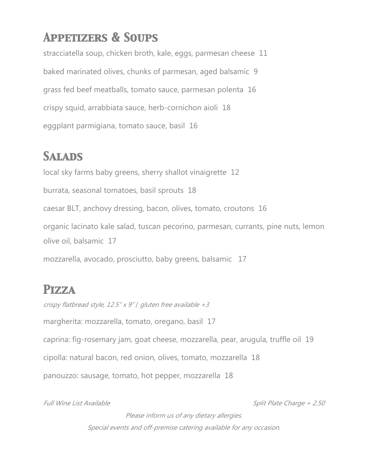# *Appetizers & Soups*

stracciatella soup, chicken broth, kale, eggs, parmesan cheese 11 baked marinated olives, chunks of parmesan, aged balsamic 9 grass fed beef meatballs, tomato sauce, parmesan polenta 16 crispy squid, arrabbiata sauce, herb-cornichon aioli 18 eggplant parmigiana, tomato sauce, basil 16

### *Salads*

local sky farms baby greens, sherry shallot vinaigrette 12 burrata, seasonal tomatoes, basil sprouts 18 caesar BLT, anchovy dressing, bacon, olives, tomato, croutons 16 organic lacinato kale salad, tuscan pecorino, parmesan, currants, pine nuts, lemon olive oil, balsamic 17

mozzarella, avocado, prosciutto, baby greens, balsamic 17

## *Pizza*

crispy flatbread style, 12.5" x 9" / gluten free available  $+3$ margherita: mozzarella, tomato, oregano, basil 17 caprina: fig-rosemary jam, goat cheese, mozzarella, pear, arugula, truffle oil 19 cipolla: natural bacon, red onion, olives, tomato, mozzarella 18 panouzzo: sausage, tomato, hot pepper, mozzarella 18

Full Wine List Available **Split Plate Charge + 2.50** 

Please inform us of any dietary allergies. Special events and off-premise catering available for any occasion.